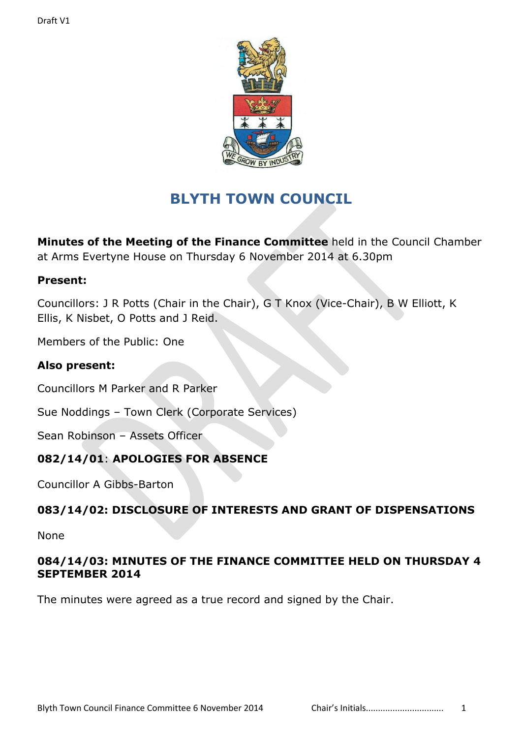

# **BLYTH TOWN COUNCIL**

**Minutes of the Meeting of the Finance Committee** held in the Council Chamber at Arms Evertyne House on Thursday 6 November 2014 at 6.30pm

#### **Present:**

Councillors: J R Potts (Chair in the Chair), G T Knox (Vice-Chair), B W Elliott, K Ellis, K Nisbet, O Potts and J Reid.

Members of the Public: One

### **Also present:**

Councillors M Parker and R Parker

Sue Noddings – Town Clerk (Corporate Services)

Sean Robinson – Assets Officer

### **082/14/01**: **APOLOGIES FOR ABSENCE**

Councillor A Gibbs-Barton

### **083/14/02: DISCLOSURE OF INTERESTS AND GRANT OF DISPENSATIONS**

None

#### **084/14/03: MINUTES OF THE FINANCE COMMITTEE HELD ON THURSDAY 4 SEPTEMBER 2014**

The minutes were agreed as a true record and signed by the Chair.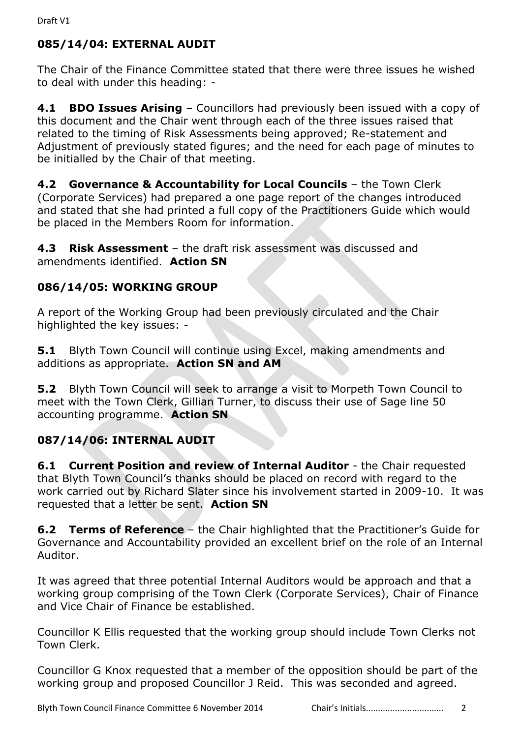# **085/14/04: EXTERNAL AUDIT**

The Chair of the Finance Committee stated that there were three issues he wished to deal with under this heading: -

**4.1 BDO Issues Arising** – Councillors had previously been issued with a copy of this document and the Chair went through each of the three issues raised that related to the timing of Risk Assessments being approved; Re-statement and Adjustment of previously stated figures; and the need for each page of minutes to be initialled by the Chair of that meeting.

**4.2 Governance & Accountability for Local Councils - the Town Clerk** (Corporate Services) had prepared a one page report of the changes introduced and stated that she had printed a full copy of the Practitioners Guide which would be placed in the Members Room for information.

**4.3 Risk Assessment** – the draft risk assessment was discussed and amendments identified. **Action SN**

# **086/14/05: WORKING GROUP**

A report of the Working Group had been previously circulated and the Chair highlighted the key issues: -

**5.1** Blyth Town Council will continue using Excel, making amendments and additions as appropriate. **Action SN and AM**

**5.2** Blyth Town Council will seek to arrange a visit to Morpeth Town Council to meet with the Town Clerk, Gillian Turner, to discuss their use of Sage line 50 accounting programme. **Action SN**

# **087/14/06: INTERNAL AUDIT**

**6.1 Current Position and review of Internal Auditor - the Chair requested** that Blyth Town Council's thanks should be placed on record with regard to the work carried out by Richard Slater since his involvement started in 2009-10. It was requested that a letter be sent. **Action SN**

**6.2 Terms of Reference** – the Chair highlighted that the Practitioner's Guide for Governance and Accountability provided an excellent brief on the role of an Internal Auditor.

It was agreed that three potential Internal Auditors would be approach and that a working group comprising of the Town Clerk (Corporate Services), Chair of Finance and Vice Chair of Finance be established.

Councillor K Ellis requested that the working group should include Town Clerks not Town Clerk.

Councillor G Knox requested that a member of the opposition should be part of the working group and proposed Councillor J Reid. This was seconded and agreed.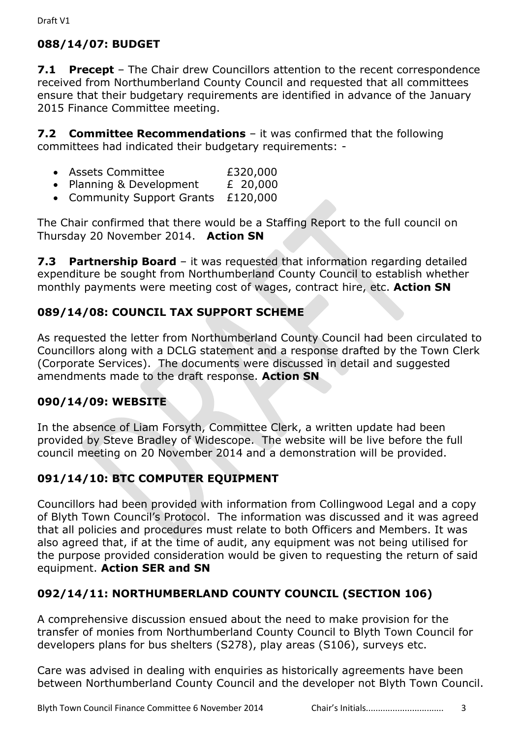# **088/14/07: BUDGET**

**7.1 Precept** – The Chair drew Councillors attention to the recent correspondence received from Northumberland County Council and requested that all committees ensure that their budgetary requirements are identified in advance of the January 2015 Finance Committee meeting.

**7.2 Committee Recommendations** – it was confirmed that the following committees had indicated their budgetary requirements: -

- Assets Committee £320,000
- Planning & Development  $E = 20,000$
- Community Support Grants £120,000

The Chair confirmed that there would be a Staffing Report to the full council on Thursday 20 November 2014. **Action SN**

**7.3 Partnership Board** – it was requested that information regarding detailed expenditure be sought from Northumberland County Council to establish whether monthly payments were meeting cost of wages, contract hire, etc. **Action SN**

### **089/14/08: COUNCIL TAX SUPPORT SCHEME**

As requested the letter from Northumberland County Council had been circulated to Councillors along with a DCLG statement and a response drafted by the Town Clerk (Corporate Services). The documents were discussed in detail and suggested amendments made to the draft response. **Action SN**

#### **090/14/09: WEBSITE**

In the absence of Liam Forsyth, Committee Clerk, a written update had been provided by Steve Bradley of Widescope. The website will be live before the full council meeting on 20 November 2014 and a demonstration will be provided.

### **091/14/10: BTC COMPUTER EQUIPMENT**

Councillors had been provided with information from Collingwood Legal and a copy of Blyth Town Council's Protocol. The information was discussed and it was agreed that all policies and procedures must relate to both Officers and Members. It was also agreed that, if at the time of audit, any equipment was not being utilised for the purpose provided consideration would be given to requesting the return of said equipment. **Action SER and SN**

### **092/14/11: NORTHUMBERLAND COUNTY COUNCIL (SECTION 106)**

A comprehensive discussion ensued about the need to make provision for the transfer of monies from Northumberland County Council to Blyth Town Council for developers plans for bus shelters (S278), play areas (S106), surveys etc.

Care was advised in dealing with enquiries as historically agreements have been between Northumberland County Council and the developer not Blyth Town Council.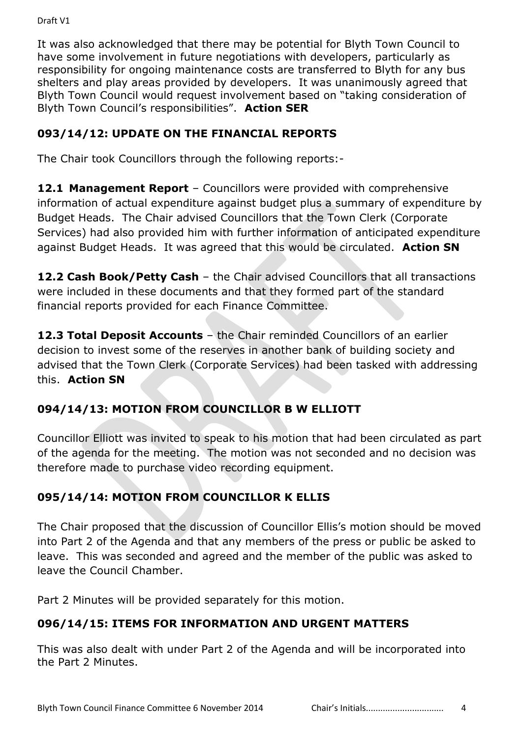Draft V1

It was also acknowledged that there may be potential for Blyth Town Council to have some involvement in future negotiations with developers, particularly as responsibility for ongoing maintenance costs are transferred to Blyth for any bus shelters and play areas provided by developers. It was unanimously agreed that Blyth Town Council would request involvement based on "taking consideration of Blyth Town Council's responsibilities". **Action SER**

## **093/14/12: UPDATE ON THE FINANCIAL REPORTS**

The Chair took Councillors through the following reports:-

**12.1 Management Report** – Councillors were provided with comprehensive information of actual expenditure against budget plus a summary of expenditure by Budget Heads. The Chair advised Councillors that the Town Clerk (Corporate Services) had also provided him with further information of anticipated expenditure against Budget Heads. It was agreed that this would be circulated. **Action SN**

**12.2 Cash Book/Petty Cash** – the Chair advised Councillors that all transactions were included in these documents and that they formed part of the standard financial reports provided for each Finance Committee.

**12.3 Total Deposit Accounts** – the Chair reminded Councillors of an earlier decision to invest some of the reserves in another bank of building society and advised that the Town Clerk (Corporate Services) had been tasked with addressing this. **Action SN**

# **094/14/13: MOTION FROM COUNCILLOR B W ELLIOTT**

Councillor Elliott was invited to speak to his motion that had been circulated as part of the agenda for the meeting. The motion was not seconded and no decision was therefore made to purchase video recording equipment.

# **095/14/14: MOTION FROM COUNCILLOR K ELLIS**

The Chair proposed that the discussion of Councillor Ellis's motion should be moved into Part 2 of the Agenda and that any members of the press or public be asked to leave. This was seconded and agreed and the member of the public was asked to leave the Council Chamber.

Part 2 Minutes will be provided separately for this motion.

# **096/14/15: ITEMS FOR INFORMATION AND URGENT MATTERS**

This was also dealt with under Part 2 of the Agenda and will be incorporated into the Part 2 Minutes.